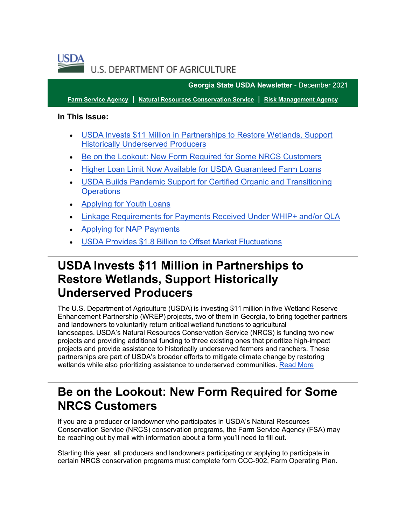

**Georgia State USDA Newsletter** - December 2021

**[Farm Service Agency](https://gcc02.safelinks.protection.outlook.com/?url=https%3A%2F%2Ffsa.usda.gov%2F%3Futm_medium%3Demail%26utm_source%3Dgovdelivery&data=04%7C01%7C%7C5da9cf925d9448b4ae1808d9bfde0060%7Ced5b36e701ee4ebc867ee03cfa0d4697%7C0%7C0%7C637751782481079510%7CUnknown%7CTWFpbGZsb3d8eyJWIjoiMC4wLjAwMDAiLCJQIjoiV2luMzIiLCJBTiI6Ik1haWwiLCJXVCI6Mn0%3D%7C3000&sdata=hx0S5tA5NhzNxtAiMrTEBL36ge9IYkj9EWjnrJrG4bA%3D&reserved=0) | [Natural Resources Conservation Service](https://gcc02.safelinks.protection.outlook.com/?url=https%3A%2F%2Fwww.nrcs.usda.gov%2Fwps%2Fportal%2Fnrcs%2Fsite%2Fnational%2Fhome%2F%3Futm_medium%3Demail%26utm_source%3Dgovdelivery&data=04%7C01%7C%7C5da9cf925d9448b4ae1808d9bfde0060%7Ced5b36e701ee4ebc867ee03cfa0d4697%7C0%7C0%7C637751782481079510%7CUnknown%7CTWFpbGZsb3d8eyJWIjoiMC4wLjAwMDAiLCJQIjoiV2luMzIiLCJBTiI6Ik1haWwiLCJXVCI6Mn0%3D%7C3000&sdata=oC%2FeRs38EIOBh%2Bg45kCkV%2BjTmOK4H4g3xj1Xlv6IPVs%3D&reserved=0) | [Risk Management Agency](https://gcc02.safelinks.protection.outlook.com/?url=https%3A%2F%2Frma.usda.gov%2F%3Futm_medium%3Demail%26utm_source%3Dgovdelivery&data=04%7C01%7C%7C5da9cf925d9448b4ae1808d9bfde0060%7Ced5b36e701ee4ebc867ee03cfa0d4697%7C0%7C0%7C637751782481079510%7CUnknown%7CTWFpbGZsb3d8eyJWIjoiMC4wLjAwMDAiLCJQIjoiV2luMzIiLCJBTiI6Ik1haWwiLCJXVCI6Mn0%3D%7C3000&sdata=zr4U28v%2BGlG%2Byf%2Bi0WkPKCVWwDtgQB3bDe1MAR%2FtCxI%3D&reserved=0)**

### **In This Issue:**

- [USDA Invests \\$11 Million in Partnerships to Restore Wetlands, Support](#page-0-0)  [Historically Underserved Producers](#page-0-0)
- [Be on the Lookout: New Form Required for Some NRCS Customers](#page-0-1)
- Higher Loan Limit Now Available [for USDA Guaranteed Farm Loans](#page-1-0)
- **USDA Builds Pandemic Support for Certified Organic and Transitioning [Operations](#page-2-0)**
- **[Applying for Youth Loans](#page-3-0)**
- [Linkage Requirements for Payments Received Under WHIP+ and/or QLA](#page-3-1)
- [Applying for NAP Payments](#page-4-0)
- [USDA Provides \\$1.8 Billion to Offset Market Fluctuations](#page-5-0)

## <span id="page-0-0"></span>**USDA Invests \$11 Million in Partnerships to Restore Wetlands, Support Historically Underserved Producers**

The U.S. Department of Agriculture (USDA) is investing \$11 million in five Wetland Reserve Enhancement Partnership (WREP) projects, two of them in Georgia, to bring together partners and landowners to voluntarily return critical wetland functions to agricultural landscapes. USDA's Natural Resources Conservation Service (NRCS) is funding two new projects and providing additional funding to three existing ones that prioritize high-impact projects and provide assistance to historically underserved farmers and ranchers. These partnerships are part of USDA's broader efforts to mitigate climate change by restoring wetlands while also prioritizing assistance to underserved communities. [Read More](https://lnks.gd/l/eyJhbGciOiJIUzI1NiJ9.eyJidWxsZXRpbl9saW5rX2lkIjoxMDEsInVyaSI6ImJwMjpjbGljayIsImJ1bGxldGluX2lkIjoiMjAyMTExMDMuNDgzMjkxNTEiLCJ1cmwiOiJodHRwczovL3d3dy5ucmNzLnVzZGEuZ292L3dwcy9wb3J0YWwvbnJjcy9kZXRhaWwvbmF0aW9uYWwvbmV3c3Jvb20vcmVsZWFzZXMvP2NpZD1OUkNTRVBSRDE4NDMwNzIifQ.BLxV8V0cTBOWtyZ_J0QwDsZrzUJKcAZfjRMnLqAoB4o/s/1047342200/br/117229954145-l?utm_medium=email&utm_source=govdelivery)

## <span id="page-0-1"></span>**Be on the Lookout: New Form Required for Some NRCS Customers**

If you are a producer or landowner who participates in USDA's Natural Resources Conservation Service (NRCS) conservation programs, the Farm Service Agency (FSA) may be reaching out by mail with information about a form you'll need to fill out.

Starting this year, all producers and landowners participating or applying to participate in certain NRCS conservation programs must complete form CCC-902, Farm Operating Plan.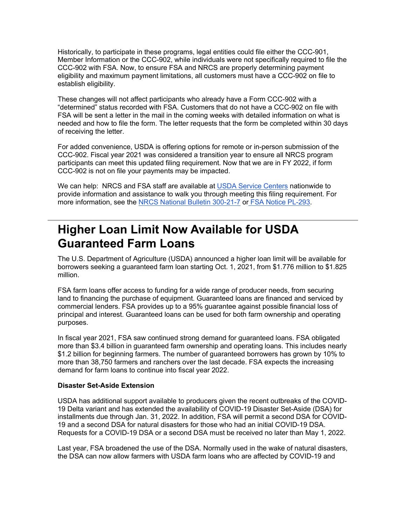Historically, to participate in these programs, legal entities could file either the CCC-901, Member Information or the CCC-902, while individuals were not specifically required to file the CCC-902 with FSA. Now, to ensure FSA and NRCS are properly determining payment eligibility and maximum payment limitations, all customers must have a CCC-902 on file to establish eligibility.

These changes will not affect participants who already have a Form CCC-902 with a "determined" status recorded with FSA. Customers that do not have a CCC-902 on file with FSA will be sent a letter in the mail in the coming weeks with detailed information on what is needed and how to file the form. The letter requests that the form be completed within 30 days of receiving the letter.

For added convenience, USDA is offering options for remote or in-person submission of the CCC-902. Fiscal year 2021 was considered a transition year to ensure all NRCS program participants can meet this updated filing requirement. Now that we are in FY 2022, if form CCC-902 is not on file your payments may be impacted.

We can help: NRCS and FSA staff are available at [USDA Service Centers](https://offices.sc.egov.usda.gov/locator/app?utm_medium=email&utm_source=govdelivery) nationwide to provide information and assistance to walk you through meeting this filing requirement. For more information, see the [NRCS National Bulletin 300](https://directives.sc.egov.usda.gov/viewerFS.aspx?hid=45889&utm_medium=email&utm_source=govdelivery)-21-7 or [FSA Notice PL](https://gcc02.safelinks.protection.outlook.com/?url=https%3A%2F%2Fwww.fsa.usda.gov%2FInternet%2FFSA_Notice%2Fpl_293.pdf%3Futm_medium%3Demail%26utm_source%3Dgovdelivery&data=04%7C01%7C%7C5da9cf925d9448b4ae1808d9bfde0060%7Ced5b36e701ee4ebc867ee03cfa0d4697%7C0%7C0%7C637751782481079510%7CUnknown%7CTWFpbGZsb3d8eyJWIjoiMC4wLjAwMDAiLCJQIjoiV2luMzIiLCJBTiI6Ik1haWwiLCJXVCI6Mn0%3D%7C3000&sdata=XLSyZKeEK5ciaaoWbsv0pABYU3XlYR9lQDfooGUbNKs%3D&reserved=0)-293.

## <span id="page-1-0"></span>**Higher Loan Limit Now Available for USDA Guaranteed Farm Loans**

The U.S. Department of Agriculture (USDA) announced a higher loan limit will be available for borrowers seeking a guaranteed farm loan starting Oct. 1, 2021, from \$1.776 million to \$1.825 million.

FSA farm loans offer access to funding for a wide range of producer needs, from securing land to financing the purchase of equipment. Guaranteed loans are financed and serviced by commercial lenders. FSA provides up to a 95% guarantee against possible financial loss of principal and interest. Guaranteed loans can be used for both farm ownership and operating purposes.

In fiscal year 2021, FSA saw continued strong demand for guaranteed loans. FSA obligated more than \$3.4 billion in guaranteed farm ownership and operating loans. This includes nearly \$1.2 billion for beginning farmers. The number of guaranteed borrowers has grown by 10% to more than 38,750 farmers and ranchers over the last decade. FSA expects the increasing demand for farm loans to continue into fiscal year 2022.

### **Disaster Set-Aside Extension**

USDA has additional support available to producers given the recent outbreaks of the COVID-19 Delta variant and has extended the availability of COVID-19 Disaster Set-Aside (DSA) for installments due through Jan. 31, 2022. In addition, FSA will permit a second DSA for COVID-19 and a second DSA for natural disasters for those who had an initial COVID-19 DSA. Requests for a COVID-19 DSA or a second DSA must be received no later than May 1, 2022.

Last year, FSA broadened the use of the DSA. Normally used in the wake of natural disasters, the DSA can now allow farmers with USDA farm loans who are affected by COVID-19 and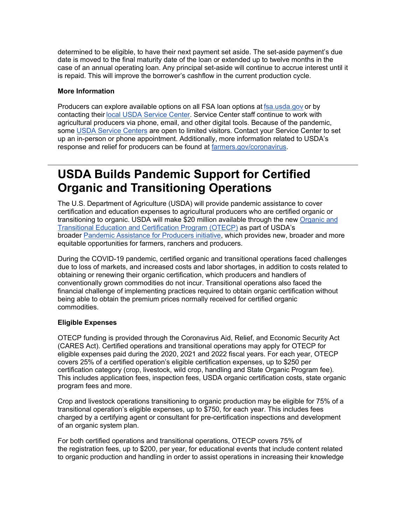determined to be eligible, to have their next payment set aside. The set-aside payment's due date is moved to the final maturity date of the loan or extended up to twelve months in the case of an annual operating loan. Any principal set-aside will continue to accrue interest until it is repaid. This will improve the borrower's cashflow in the current production cycle.

### **More Information**

Producers can explore available options on all FSA loan options at [fsa.usda.gov](https://gcc02.safelinks.protection.outlook.com/?url=https%3A%2F%2Fwww.fsa.usda.gov%2F%3Futm_medium%3Demail%26utm_source%3Dgovdelivery&data=04%7C01%7C%7C5da9cf925d9448b4ae1808d9bfde0060%7Ced5b36e701ee4ebc867ee03cfa0d4697%7C0%7C0%7C637751782481079510%7CUnknown%7CTWFpbGZsb3d8eyJWIjoiMC4wLjAwMDAiLCJQIjoiV2luMzIiLCJBTiI6Ik1haWwiLCJXVCI6Mn0%3D%7C3000&sdata=p6yrn3NFTBJXTOt%2FPDFk8ogApYXS5okbc6JRgfRDRII%3D&reserved=0) or by contacting their [local USDA Service Center.](https://www.farmers.gov/working-with-us/service-center-locator?utm_medium=email&utm_source=govdelivery) Service Center staff continue to work with agricultural producers via phone, email, and other digital tools. Because of the pandemic, some [USDA Service Centers](http://www.farmers.gov/service-locator?utm_medium=email&utm_source=govdelivery) are open to limited visitors. Contact your Service Center to set up an in-person or phone appointment. Additionally, more information related to USDA's response and relief for producers can be found at [farmers.gov/coronavirus.](https://www.farmers.gov/coronavirus?utm_medium=email&utm_source=govdelivery)

## <span id="page-2-0"></span>**USDA Builds Pandemic Support for Certified Organic and Transitioning Operations**

The U.S. Department of Agriculture (USDA) will provide pandemic assistance to cover certification and education expenses to agricultural producers who are certified organic or transitioning to organic. USDA will make \$20 million available through the new [Organic and](https://www.farmers.gov/pandemic-assistance/otecp?utm_medium=email&utm_source=govdelivery)  [Transitional Education and Certification Program \(OTECP\)](https://www.farmers.gov/pandemic-assistance/otecp?utm_medium=email&utm_source=govdelivery) as part of USDA's broader [Pandemic Assistance for Producers](https://www.farmers.gov/coronavirus/pandemic-assistance?utm_medium=email&utm_source=govdelivery) initiative, which provides new, broader and more equitable opportunities for farmers, ranchers and producers.

During the COVID-19 pandemic, certified organic and transitional operations faced challenges due to loss of markets, and increased costs and labor shortages, in addition to costs related to obtaining or renewing their organic certification, which producers and handlers of conventionally grown commodities do not incur. Transitional operations also faced the financial challenge of implementing practices required to obtain organic certification without being able to obtain the premium prices normally received for certified organic commodities.

### **Eligible Expenses**

OTECP funding is provided through the Coronavirus Aid, Relief, and Economic Security Act (CARES Act). Certified operations and transitional operations may apply for OTECP for eligible expenses paid during the 2020, 2021 and 2022 fiscal years. For each year, OTECP covers 25% of a certified operation's eligible certification expenses, up to \$250 per certification category (crop, livestock, wild crop, handling and State Organic Program fee). This includes application fees, inspection fees, USDA organic certification costs, state organic program fees and more.

Crop and livestock operations transitioning to organic production may be eligible for 75% of a transitional operation's eligible expenses, up to \$750, for each year. This includes fees charged by a certifying agent or consultant for pre-certification inspections and development of an organic system plan.

For both certified operations and transitional operations, OTECP covers 75% of the registration fees, up to \$200, per year, for educational events that include content related to organic production and handling in order to assist operations in increasing their knowledge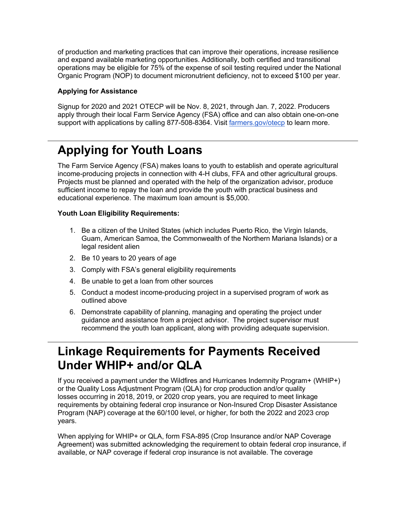of production and marketing practices that can improve their operations, increase resilience and expand available marketing opportunities. Additionally, both certified and transitional operations may be eligible for 75% of the expense of soil testing required under the National Organic Program (NOP) to document micronutrient deficiency, not to exceed \$100 per year.

### **Applying for Assistance**

Signup for 2020 and 2021 OTECP will be Nov. 8, 2021, through Jan. 7, 2022. Producers apply through their local Farm Service Agency (FSA) office and can also obtain one-on-one support with applications by calling 877-508-8364. Visit [farmers.gov/otecp](https://www.farmers.gov/pandemic-assistance/otecp?utm_medium=email&utm_source=govdelivery) to learn more.

# <span id="page-3-0"></span>**Applying for Youth Loans**

The Farm Service Agency (FSA) makes loans to youth to establish and operate agricultural income-producing projects in connection with 4-H clubs, FFA and other agricultural groups. Projects must be planned and operated with the help of the organization advisor, produce sufficient income to repay the loan and provide the youth with practical business and educational experience. The maximum loan amount is \$5,000.

### **Youth Loan Eligibility Requirements:**

- 1. Be a citizen of the United States (which includes Puerto Rico, the Virgin Islands, Guam, American Samoa, the Commonwealth of the Northern Mariana Islands) or a legal resident alien
- 2. Be 10 years to 20 years of age
- 3. Comply with FSA's general eligibility requirements
- 4. Be unable to get a loan from other sources
- 5. Conduct a modest income-producing project in a supervised program of work as outlined above
- 6. Demonstrate capability of planning, managing and operating the project under guidance and assistance from a project advisor. The project supervisor must recommend the youth loan applicant, along with providing adequate supervision.

## <span id="page-3-1"></span>**Linkage Requirements for Payments Received Under WHIP+ and/or QLA**

If you received a payment under the Wildfires and Hurricanes Indemnity Program+ (WHIP+) or the Quality Loss Adjustment Program (QLA) for crop production and/or quality losses occurring in 2018, 2019, or 2020 crop years, you are required to meet linkage requirements by obtaining federal crop insurance or Non-Insured Crop Disaster Assistance Program (NAP) coverage at the 60/100 level, or higher, for both the 2022 and 2023 crop years.

When applying for WHIP+ or QLA, form FSA-895 (Crop Insurance and/or NAP Coverage Agreement) was submitted acknowledging the requirement to obtain federal crop insurance, if available, or NAP coverage if federal crop insurance is not available. The coverage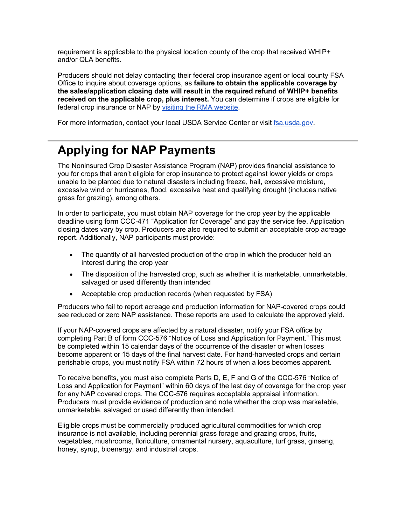requirement is applicable to the physical location county of the crop that received WHIP+ and/or QLA benefits.

Producers should not delay contacting their federal crop insurance agent or local county FSA Office to inquire about coverage options, as **failure to obtain the applicable coverage by the sales/application closing date will result in the required refund of WHIP+ benefits received on the applicable crop, plus interest.** You can determine if crops are eligible for federal crop insurance or NAP by [visiting the RMA website.](https://gcc02.safelinks.protection.outlook.com/?url=https%3A%2F%2Fwebapp.rma.usda.gov%2Fapps%2FActuarialInformationBrowser2018%2FCropCriteria.aspx%3Futm_medium%3Demail%26utm_source%3Dgovdelivery&data=04%7C01%7C%7C5da9cf925d9448b4ae1808d9bfde0060%7Ced5b36e701ee4ebc867ee03cfa0d4697%7C0%7C0%7C637751782481079510%7CUnknown%7CTWFpbGZsb3d8eyJWIjoiMC4wLjAwMDAiLCJQIjoiV2luMzIiLCJBTiI6Ik1haWwiLCJXVCI6Mn0%3D%7C3000&sdata=txRhgEZOBJyDtGE1nQGkLUA8K%2BMC5kuE0zwi6lKr9yk%3D&reserved=0)

For more information, contact your local USDA Service Center or visit [fsa.usda.gov.](https://gcc02.safelinks.protection.outlook.com/?url=http%3A%2F%2Fwww.fsa.usda.gov%2F%3Futm_medium%3Demail%26utm_source%3Dgovdelivery&data=04%7C01%7C%7C5da9cf925d9448b4ae1808d9bfde0060%7Ced5b36e701ee4ebc867ee03cfa0d4697%7C0%7C0%7C637751782481079510%7CUnknown%7CTWFpbGZsb3d8eyJWIjoiMC4wLjAwMDAiLCJQIjoiV2luMzIiLCJBTiI6Ik1haWwiLCJXVCI6Mn0%3D%7C3000&sdata=pNfzaFRksFDCivIpcPgy6543MZy8a6%2FpI%2B3XxBOCSyo%3D&reserved=0)

# <span id="page-4-0"></span>**Applying for NAP Payments**

The Noninsured Crop Disaster Assistance Program (NAP) provides financial assistance to you for crops that aren't eligible for crop insurance to protect against lower yields or crops unable to be planted due to natural disasters including freeze, hail, excessive moisture, excessive wind or hurricanes, flood, excessive heat and qualifying drought (includes native grass for grazing), among others.

In order to participate, you must obtain NAP coverage for the crop year by the applicable deadline using form CCC-471 "Application for Coverage" and pay the service fee. Application closing dates vary by crop. Producers are also required to submit an acceptable crop acreage report. Additionally, NAP participants must provide:

- The quantity of all harvested production of the crop in which the producer held an interest during the crop year
- The disposition of the harvested crop, such as whether it is marketable, unmarketable, salvaged or used differently than intended
- Acceptable crop production records (when requested by FSA)

Producers who fail to report acreage and production information for NAP-covered crops could see reduced or zero NAP assistance. These reports are used to calculate the approved yield.

If your NAP-covered crops are affected by a natural disaster, notify your FSA office by completing Part B of form CCC-576 "Notice of Loss and Application for Payment." This must be completed within 15 calendar days of the occurrence of the disaster or when losses become apparent or 15 days of the final harvest date. For hand-harvested crops and certain perishable crops, you must notify FSA within 72 hours of when a loss becomes apparent.

To receive benefits, you must also complete Parts D, E, F and G of the CCC-576 "Notice of Loss and Application for Payment" within 60 days of the last day of coverage for the crop year for any NAP covered crops. The CCC-576 requires acceptable appraisal information. Producers must provide evidence of production and note whether the crop was marketable, unmarketable, salvaged or used differently than intended.

Eligible crops must be commercially produced agricultural commodities for which crop insurance is not available, including perennial grass forage and grazing crops, fruits, vegetables, mushrooms, floriculture, ornamental nursery, aquaculture, turf grass, ginseng, honey, syrup, bioenergy, and industrial crops.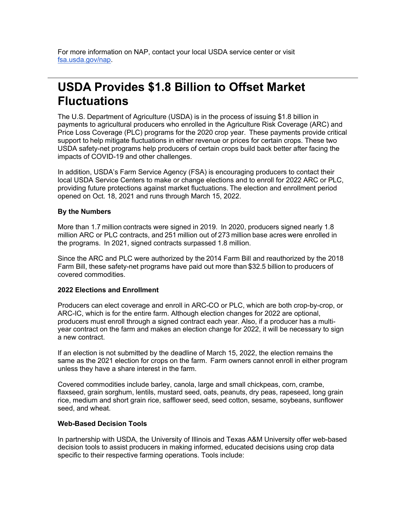For more information on NAP, contact your local USDA service center or visit [fsa.usda.gov/nap.](https://gcc02.safelinks.protection.outlook.com/?url=http%3A%2F%2Fwww.fsa.usda.gov%2Fnap%3Futm_medium%3Demail%26utm_source%3Dgovdelivery&data=04%7C01%7C%7C5da9cf925d9448b4ae1808d9bfde0060%7Ced5b36e701ee4ebc867ee03cfa0d4697%7C0%7C0%7C637751782481079510%7CUnknown%7CTWFpbGZsb3d8eyJWIjoiMC4wLjAwMDAiLCJQIjoiV2luMzIiLCJBTiI6Ik1haWwiLCJXVCI6Mn0%3D%7C3000&sdata=Ng1xXQKI7h2N29gvcdxwSVPcTzg%2Ft1zt78b1f8C2WQQ%3D&reserved=0)

## <span id="page-5-0"></span>**USDA Provides \$1.8 Billion to Offset Market Fluctuations**

The U.S. Department of Agriculture (USDA) is in the process of issuing \$1.8 billion in payments to agricultural producers who enrolled in the Agriculture Risk Coverage (ARC) and Price Loss Coverage (PLC) programs for the 2020 crop year.  These payments provide critical support to help mitigate fluctuations in either revenue or prices for certain crops. These two USDA safety-net programs help producers of certain crops build back better after facing the impacts of COVID-19 and other challenges.  

In addition, USDA's Farm Service Agency (FSA) is encouraging producers to contact their local USDA Service Centers to make or change elections and to enroll for 2022 ARC or PLC, providing future protections against market fluctuations. The election and enrollment period opened on Oct. 18, 2021 and runs through March 15, 2022. 

### **By the Numbers**

More than 1.7 million contracts were signed in 2019.  In 2020, producers signed nearly 1.8 million ARC or PLC contracts, and 251 million out of 273 million base acres were enrolled in the programs.  In 2021, signed contracts surpassed 1.8 million. 

Since the ARC and PLC were authorized by the 2014 Farm Bill and reauthorized by the 2018 Farm Bill, these safety-net programs have paid out more than \$32.5 billion to producers of covered commodities. 

### **2022 Elections and Enrollment**

Producers can elect coverage and enroll in ARC-CO or PLC, which are both crop-by-crop, or ARC-IC, which is for the entire farm. Although election changes for 2022 are optional, producers must enroll through a signed contract each year. Also, if a producer has a multiyear contract on the farm and makes an election change for 2022, it will be necessary to sign a new contract.   

If an election is not submitted by the deadline of March 15, 2022, the election remains the same as the 2021 election for crops on the farm.  Farm owners cannot enroll in either program unless they have a share interest in the farm.    

Covered commodities include barley, canola, large and small chickpeas, corn, crambe, flaxseed, grain sorghum, lentils, mustard seed, oats, peanuts, dry peas, rapeseed, long grain rice, medium and short grain rice, safflower seed, seed cotton, sesame, soybeans, sunflower seed, and wheat.   

#### **Web-Based Decision Tools**

In partnership with USDA, the University of Illinois and Texas A&M University offer web-based decision tools to assist producers in making informed, educated decisions using crop data specific to their respective farming operations. Tools include: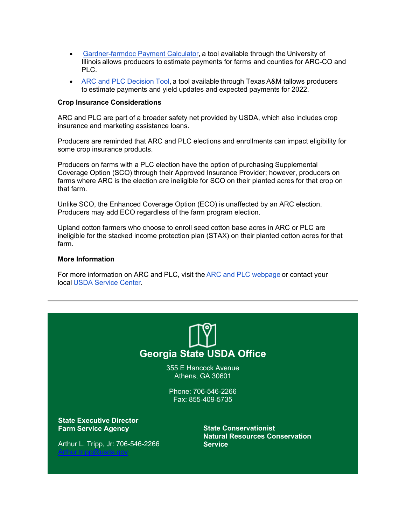- Gardner-[farmdoc Payment Calculator,](https://gcc02.safelinks.protection.outlook.com/?url=https%3A%2F%2Ffarmdocdaily.illinois.edu%2F2019%2F08%2Fintroducing-the-gardner-farmdoc-payment-calculator.html%2522%2520%2Ft%2520%2522_blank%3Futm_medium%3Demail%26utm_source%3Dgovdelivery&data=04%7C01%7C%7C5da9cf925d9448b4ae1808d9bfde0060%7Ced5b36e701ee4ebc867ee03cfa0d4697%7C0%7C0%7C637751782481079510%7CUnknown%7CTWFpbGZsb3d8eyJWIjoiMC4wLjAwMDAiLCJQIjoiV2luMzIiLCJBTiI6Ik1haWwiLCJXVCI6Mn0%3D%7C3000&sdata=S%2FP5Sn9%2Fixjig9teWV9eMMOXaxYyijtJgIANlfAE54I%3D&reserved=0) a tool available through the University of Illinois allows producers to estimate payments for farms and counties for ARC-CO and PLC.
- [ARC and PLC Decision Tool,](https://gcc02.safelinks.protection.outlook.com/?url=https%3A%2F%2Fwww.afpc.tamu.edu%2F%3Futm_medium%3Demail%26utm_source%3Dgovdelivery&data=04%7C01%7C%7C5da9cf925d9448b4ae1808d9bfde0060%7Ced5b36e701ee4ebc867ee03cfa0d4697%7C0%7C0%7C637751782481079510%7CUnknown%7CTWFpbGZsb3d8eyJWIjoiMC4wLjAwMDAiLCJQIjoiV2luMzIiLCJBTiI6Ik1haWwiLCJXVCI6Mn0%3D%7C3000&sdata=ttXSWr9KbVxN%2BfJI1orPX%2FFWhj5LmsVWwrPCChK2hO4%3D&reserved=0) a tool available through Texas A&M tallows producers to estimate payments and yield updates and expected payments for 2022.

#### **Crop Insurance Considerations**

ARC and PLC are part of a broader safety net provided by USDA, which also includes crop insurance and marketing assistance loans.  

Producers are reminded that ARC and PLC elections and enrollments can impact eligibility for some crop insurance products.  

Producers on farms with a PLC election have the option of purchasing Supplemental Coverage Option (SCO) through their Approved Insurance Provider; however, producers on farms where ARC is the election are ineligible for SCO on their planted acres for that crop on that farm.  

Unlike SCO, the Enhanced Coverage Option (ECO) is unaffected by an ARC election.  Producers may add ECO regardless of the farm program election. 

Upland cotton farmers who choose to enroll seed cotton base acres in ARC or PLC are ineligible for the stacked income protection plan (STAX) on their planted cotton acres for that farm.   

#### **More Information**

For more information on ARC and PLC, visit the [ARC and PLC webpage](https://gcc02.safelinks.protection.outlook.com/?url=https%3A%2F%2Fwww.fsa.usda.gov%2Fprograms-and-services%2Farcplc_program%2Findex%3Futm_medium%3Demail%26utm_source%3Dgovdelivery&data=04%7C01%7C%7C5da9cf925d9448b4ae1808d9bfde0060%7Ced5b36e701ee4ebc867ee03cfa0d4697%7C0%7C0%7C637751782481079510%7CUnknown%7CTWFpbGZsb3d8eyJWIjoiMC4wLjAwMDAiLCJQIjoiV2luMzIiLCJBTiI6Ik1haWwiLCJXVCI6Mn0%3D%7C3000&sdata=paaUVXKVcP39ETZ58BYQXvwTDYWCmYMicVE40gHiJQU%3D&reserved=0) or contact your local [USDA Service Center.](http://www.farmers.gov/service-locator?utm_medium=email&utm_source=govdelivery) 



355 E Hancock Avenue Athens, GA 30601

Phone: 706-546-2266 Fax: 855-409-5735

**State Executive Director Farm Service Agency**

Arthur L. Tripp, Jr: 706-546-2266 [Arthur.tripp@usda.gov](mailto:Arthur.tripp@usda.gov)

**State Conservationist Natural Resources Conservation Service**